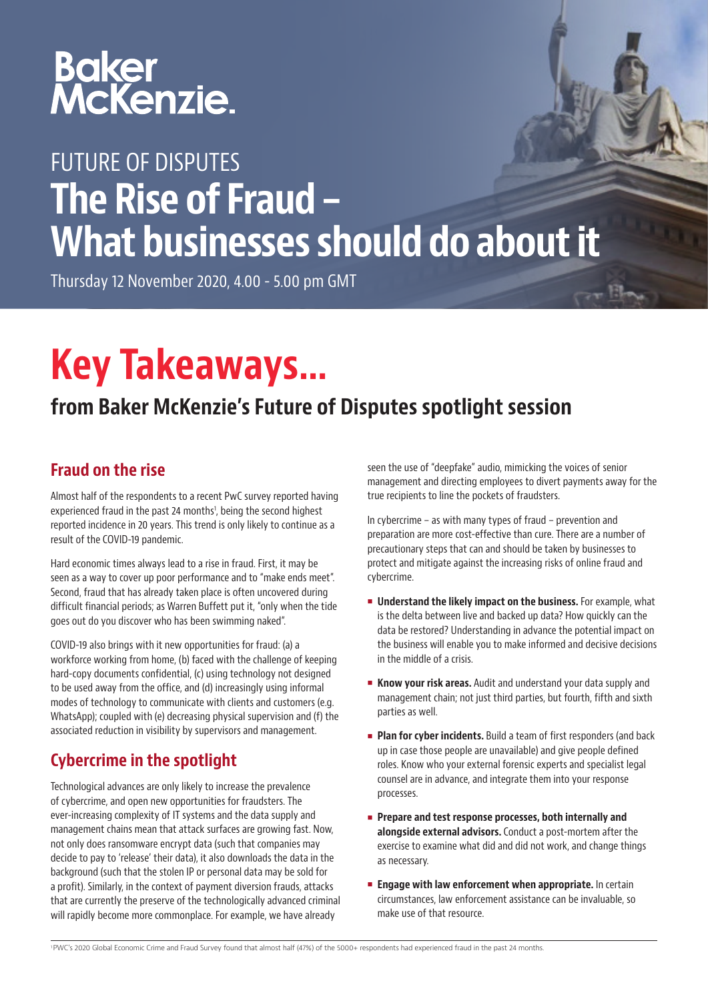# Baker<br>McKenzie.

### FUTURE OF DISPUTES The Rise of Fraud – What businesses should do about it

Thursday 12 November 2020, 4.00 - 5.00 pm GMT

## Key Takeaways…

#### from Baker McKenzie's Future of Disputes spotlight session

#### Fraud on the rise

Almost half of the respondents to a recent PwC survey reported having experienced fraud in the past 24 months<sup>1</sup>, being the second highest reported incidence in 20 years. This trend is only likely to continue as a result of the COVID-19 pandemic.

Hard economic times always lead to a rise in fraud. First, it may be seen as a way to cover up poor performance and to "make ends meet". Second, fraud that has already taken place is often uncovered during difficult financial periods; as Warren Buffett put it, "only when the tide goes out do you discover who has been swimming naked".

COVID-19 also brings with it new opportunities for fraud: (a) a workforce working from home, (b) faced with the challenge of keeping hard-copy documents confidential, (c) using technology not designed to be used away from the office, and (d) increasingly using informal modes of technology to communicate with clients and customers (e.g. WhatsApp); coupled with (e) decreasing physical supervision and (f) the associated reduction in visibility by supervisors and management.

#### Cybercrime in the spotlight

Technological advances are only likely to increase the prevalence of cybercrime, and open new opportunities for fraudsters. The ever-increasing complexity of IT systems and the data supply and management chains mean that attack surfaces are growing fast. Now, not only does ransomware encrypt data (such that companies may decide to pay to 'release' their data), it also downloads the data in the background (such that the stolen IP or personal data may be sold for a profit). Similarly, in the context of payment diversion frauds, attacks that are currently the preserve of the technologically advanced criminal will rapidly become more commonplace. For example, we have already

seen the use of "deepfake" audio, mimicking the voices of senior management and directing employees to divert payments away for the true recipients to line the pockets of fraudsters.

In cybercrime – as with many types of fraud – prevention and preparation are more cost-effective than cure. There are a number of precautionary steps that can and should be taken by businesses to protect and mitigate against the increasing risks of online fraud and cybercrime.

- **Understand the likely impact on the business.** For example, what is the delta between live and backed up data? How quickly can the data be restored? Understanding in advance the potential impact on the business will enable you to make informed and decisive decisions in the middle of a crisis.
- Know your risk areas. Audit and understand your data supply and management chain; not just third parties, but fourth, fifth and sixth parties as well.
- **Plan for cyber incidents.** Build a team of first responders (and back up in case those people are unavailable) and give people defined roles. Know who your external forensic experts and specialist legal counsel are in advance, and integrate them into your response processes.
- Prepare and test response processes, both internally and alongside external advisors. Conduct a post-mortem after the exercise to examine what did and did not work, and change things as necessary.
- **Engage with law enforcement when appropriate.** In certain circumstances, law enforcement assistance can be invaluable, so make use of that resource.

1 PWC's 2020 Global Economic Crime and Fraud Survey found that almost half (47%) of the 5000+ respondents had experienced fraud in the past 24 months.